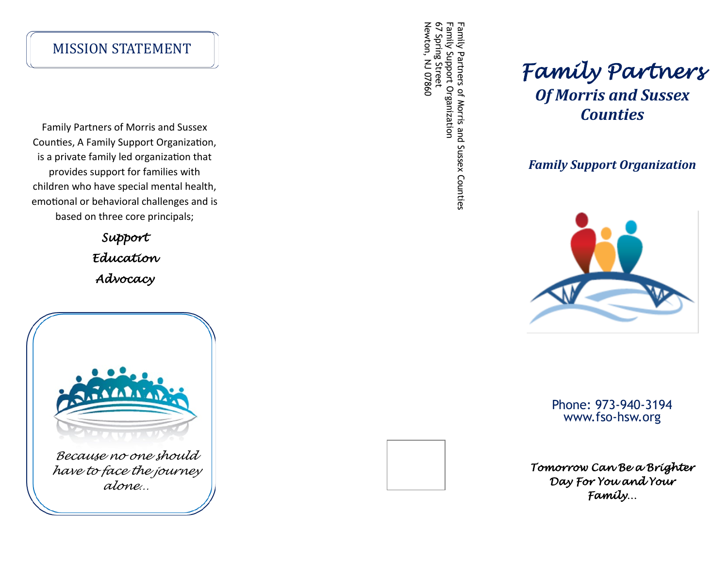#### MISSION STATEMENT

Family Partners of Morris and Sussex Counties, A Family Support Organization, is a private family led organization that provides support for families with children who have special mental health, emotional or behavioral challenges and is based on three core principals;

> *Support Education Advocacy*



67 Spring Street Newton, NJ 07860 Family Support Organization Family Support Organization Family Partners of Morris and Sussex Counties Family Partners of Morris and Sussex Counties lewton, NJ 07860 Spring Street

# *Family Partners Of Morris and Sussex Counties*

*Family Support Organization*



Phone: 973 -940 -3194 www.fso -hsw.org

*Tomorrow Can Be a Brighter Day For You and Your Family…*